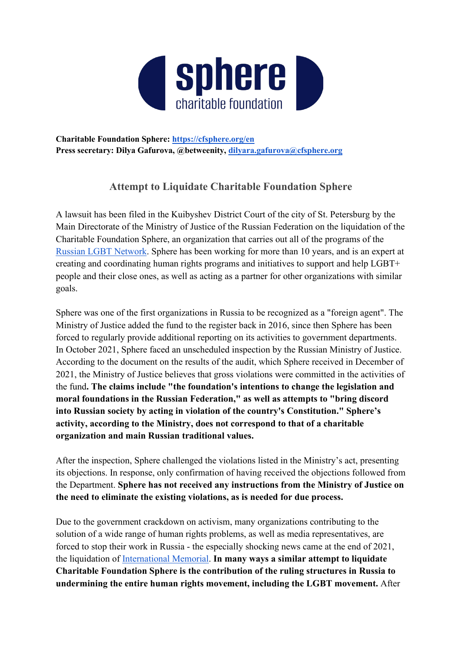

**Charitable Foundation Sphere:<https://cfsphere.org/en> Press secretary: Dilya Gafurova, @betweenity, [dilyara.gafurova@cfsphere.org](mailto:dilyara.gafurova@cfsphere.org)**

## **Attempt to Liquidate Charitable Foundation Sphere**

A lawsuit has been filed in the Kuibyshev District Court of the city of St. Petersburg by the Main Directorate of the Ministry of Justice of the Russian Federation on the liquidation of the Charitable Foundation Sphere, an organization that carries out all of the programs of the [Russian LGBT Network.](https://lgbtnet.org/en/) Sphere has been working for more than 10 years, and is an expert at creating and coordinating human rights programs and initiatives to support and help LGBT+ people and their close ones, as well as acting as a partner for other organizations with similar goals.

Sphere was one of the first organizations in Russia to be recognized as a "foreign agent". The Ministry of Justice added the fund to the register back in 2016, since then Sphere has been forced to regularly provide additional reporting on its activities to government departments. In October 2021, Sphere faced an unscheduled inspection by the Russian Ministry of Justice. According to the document on the results of the audit, which Sphere received in December of 2021, the Ministry of Justice believes that gross violations were committed in the activities of the fund**. The claims include "the foundation's intentions to change the legislation and moral foundations in the Russian Federation," as well as attempts to "bring discord into Russian society by acting in violation of the country's Constitution." Sphere's activity, according to the Ministry, does not correspond to that of a charitable organization and main Russian traditional values.** 

After the inspection, Sphere challenged the violations listed in the Ministry's act, presenting its objections. In response, only confirmation of having received the objections followed from the Department. **Sphere has not received any instructions from the Ministry of Justice on the need to eliminate the existing violations, as is needed for due process.** 

Due to the government crackdown on activism, many organizations contributing to the solution of a wide range of human rights problems, as well as media representatives, are forced to stop their work in Russia - the especially shocking news came at the end of 2021, the liquidation of [International Memorial.](https://www.memo.ru/en-us/memorial/mission-and-statute/) **In many ways a similar attempt to liquidate Charitable Foundation Sphere is the contribution of the ruling structures in Russia to undermining the entire human rights movement, including the LGBT movement.** After